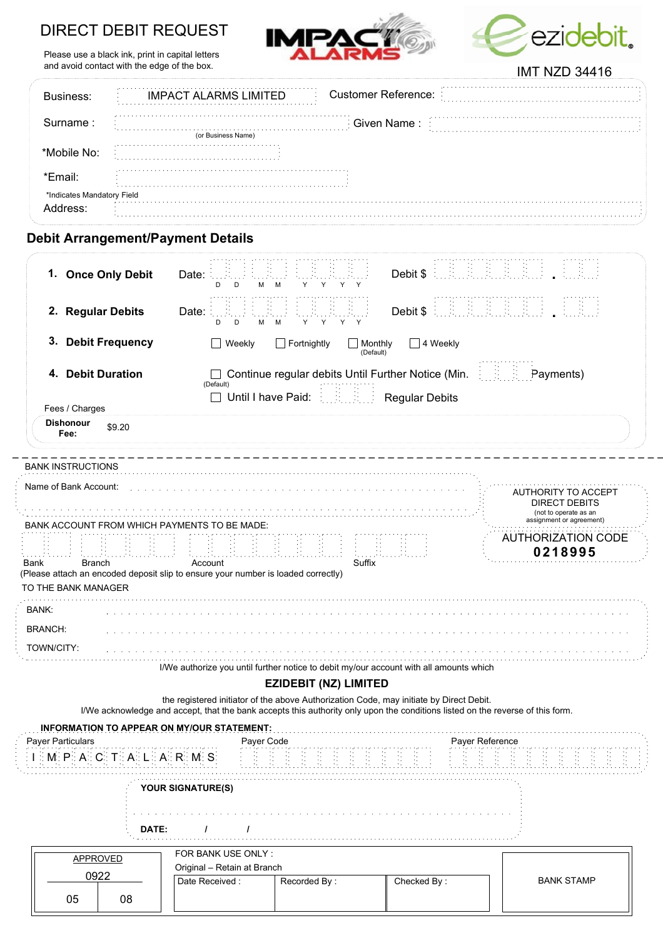# DIRECT DEBIT REQUEST







|                              |             | IIVII INZU 34410                                                                                                                                                                                                                                                                                               |  |  |  |  |
|------------------------------|-------------|----------------------------------------------------------------------------------------------------------------------------------------------------------------------------------------------------------------------------------------------------------------------------------------------------------------|--|--|--|--|
| Business:                    |             | <b>Customer Reference:</b><br><b>IMPACT ALARMS LIMITED</b>                                                                                                                                                                                                                                                     |  |  |  |  |
| Surname:                     | Given Name: |                                                                                                                                                                                                                                                                                                                |  |  |  |  |
| *Mobile No:                  |             | (or Business Name)                                                                                                                                                                                                                                                                                             |  |  |  |  |
|                              |             |                                                                                                                                                                                                                                                                                                                |  |  |  |  |
| *Email:                      |             |                                                                                                                                                                                                                                                                                                                |  |  |  |  |
| *Indicates Mandatory Field   |             |                                                                                                                                                                                                                                                                                                                |  |  |  |  |
| Address:                     |             |                                                                                                                                                                                                                                                                                                                |  |  |  |  |
| 1. Once Only Debit           |             | <b>Debit Arrangement/Payment Details</b><br><b>Debit \$ E. R. R. R. R. R. R. P.</b><br>Date:<br>M<br>D<br>м<br>Y<br>Y<br>Y.<br>D                                                                                                                                                                               |  |  |  |  |
| 2. Regular Debits            |             | <b>Debit \$</b> decided \$1,000 \$1,000 \$1,000 \$1,000 \$1,000 \$1,000 \$1,000 \$1,000 \$1,000 \$1,000 \$1,000 \$1,000 \$1,000 \$1,000 \$1,000 \$1,000 \$1,000 \$1,000 \$1,000 \$1,000 \$1,000 \$1,000 \$1,000 \$1,000 \$1,000 \$1,000 \$1,000 \$1,000 \$1,000 \$<br>Date:<br>Y<br>Y<br>D<br>м<br>м<br>Y<br>D |  |  |  |  |
| <b>Debit Frequency</b><br>3. |             | $\Box$ Fortnightly<br>$\Box$ 4 Weekly<br>Weekly<br>Monthly<br>(Default)                                                                                                                                                                                                                                        |  |  |  |  |
| 4. Debit Duration            |             | <b>EXECUTE:</b> Payments)<br>Continue regular debits Until Further Notice (Min.<br>(Default)                                                                                                                                                                                                                   |  |  |  |  |
|                              |             | Until I have Paid: Regular Debits<br>$\Box$                                                                                                                                                                                                                                                                    |  |  |  |  |
| Fees / Charges               |             |                                                                                                                                                                                                                                                                                                                |  |  |  |  |

|                             | טרוטו וטטרונטרוו הרא                         |                                                                                                  |        |                                      |  |  |
|-----------------------------|----------------------------------------------|--------------------------------------------------------------------------------------------------|--------|--------------------------------------|--|--|
| Name of Bank Account:       | BANK ACCOUNT FROM WHICH PAYMENTS TO BE MADE: | AUTHORITY TO ACCEPT<br><b>DIRECT DEBITS</b><br>(not to operate as an<br>assignment or agreement) |        |                                      |  |  |
| Bank<br>TO THE BANK MANAGER | <b>Branch</b>                                | Account<br>(Please attach an encoded deposit slip to ensure your number is loaded correctly)     | Suffix | <b>AUTHORIZATION CODE</b><br>0218995 |  |  |
| <b>BANK:</b>                |                                              |                                                                                                  |        |                                      |  |  |
| <b>BRANCH:</b>              |                                              |                                                                                                  |        |                                      |  |  |
|                             |                                              |                                                                                                  |        |                                      |  |  |

I/We authorize you until further notice to debit my/our account with all amounts which

### EZIDEBIT (NZ) LIMITED

the registered initiator of the above Authorization Code, may initiate by Direct Debit. I/We acknowledge and accept, that the bank accepts this authority only upon the conditions listed on the reverse of this form.

| <b>INFORMATION TO APPEAR ON MY/OUR STATEMENT:</b><br>Payer Particulars | Payer Code                                                        | Payer Reference                  |
|------------------------------------------------------------------------|-------------------------------------------------------------------|----------------------------------|
|                                                                        |                                                                   |                                  |
| <b>YOUR SIGNATURE(S)</b><br>DATE:                                      |                                                                   |                                  |
| <b>APPROVED</b><br>0922<br>Date Received:<br>05<br>08                  | FOR BANK USE ONLY:<br>Original - Retain at Branch<br>Recorded By: | <b>BANK STAMP</b><br>Checked By: |